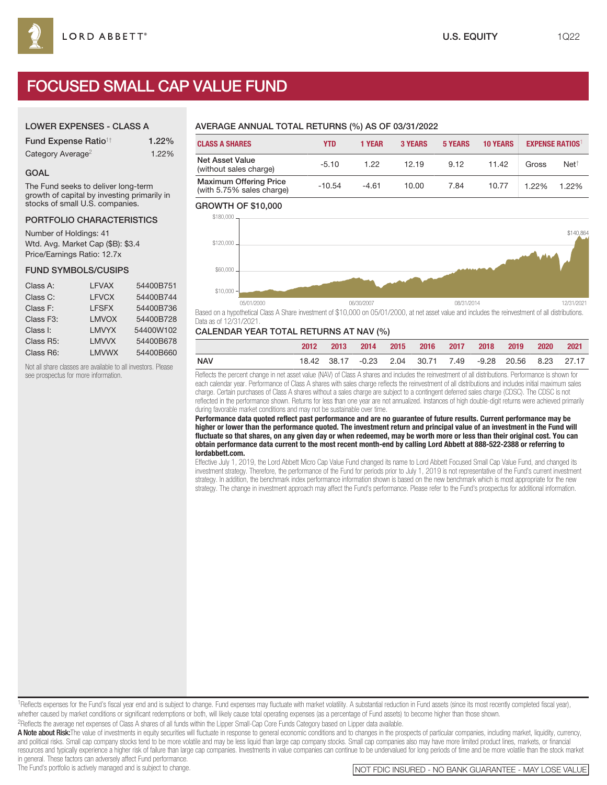# FOCUSED SMALL CAP VALUE FUND

#### LOWER EXPENSES - CLASS A

| <b>Fund Expense Ratio<sup>1†</sup></b> | 1.22% |
|----------------------------------------|-------|
| Category Average <sup>2</sup>          | 1.22% |

#### GOAL

The Fund seeks to deliver long-term growth of capital by investing primarily in stocks of small U.S. companies.

#### PORTFOLIO CHARACTERISTICS

Number of Holdings: 41 Wtd. Avg. Market Cap (\$B): \$3.4 Price/Earnings Ratio: 12.7x

#### FUND SYMBOLS/CUSIPS

| Class A:  | <b>LFVAX</b> | 54400B751 |
|-----------|--------------|-----------|
| Class C:  | <b>LFVCX</b> | 54400B744 |
| Class F:  | <b>LFSFX</b> | 54400B736 |
| Class F3: | <b>LMVOX</b> | 54400B728 |
| Class I:  | <b>LMVYX</b> | 54400W102 |
| Class R5: | <b>LMVVX</b> | 54400B678 |
| Class R6: | <b>LMVWX</b> | 54400B660 |

Not all share classes are available to all investors. Please see prospectus for more information.

## AVERAGE ANNUAL TOTAL RETURNS (%) AS OF 03/31/2022

| <b>CLASS A SHARES</b>                                      | YTD      | 1 YEAR  | <b>3 YEARS</b> | <b>5 YEARS</b> | <b>10 YEARS</b> |       | <b>EXPENSE RATIOS</b> |
|------------------------------------------------------------|----------|---------|----------------|----------------|-----------------|-------|-----------------------|
| <b>Net Asset Value</b><br>(without sales charge)           | $-5.10$  | 1.22    | 12.19          | 9.12           | 11.42           | Gross | Net <sup>†</sup>      |
| <b>Maximum Offering Price</b><br>(with 5.75% sales charge) | $-10.54$ | $-4.61$ | 10.00          | 7.84           | 10.77           | 1.22% | 1.22%                 |

#### GROWTH OF \$10,000



Based on a hypothetical Class A Share investment of \$10,000 on 05/01/2000, at net asset value and includes the reinvestment of all distributions. Data as of 12/31/2021.

#### CALENDAR YEAR TOTAL RETURNS AT NAV (%)

|            | 2012 | 2013 |  | 2014 2015 2016 2017 2018 2019                            |  | 2020 2021 |  |
|------------|------|------|--|----------------------------------------------------------|--|-----------|--|
| <b>NAV</b> |      |      |  | 18.42 38.17 -0.23 2.04 30.71 7.49 -9.28 20.56 8.23 27.17 |  |           |  |

Reflects the percent change in net asset value (NAV) of Class A shares and includes the reinvestment of all distributions. Performance is shown for each calendar year. Performance of Class A shares with sales charge reflects the reinvestment of all distributions and includes initial maximum sales charge. Certain purchases of Class A shares without a sales charge are subject to a contingent deferred sales charge (CDSC). The CDSC is not reflected in the performance shown. Returns for less than one year are not annualized. Instances of high double-digit returns were achieved primarily during favorable market conditions and may not be sustainable over time.

**Performance data quoted reflect past performance and are no guarantee of future results. Current performance may be higher or lower than the performance quoted. The investment return and principal value of an investment in the Fund will fluctuate so that shares, on any given day or when redeemed, may be worth more or less than their original cost. You can obtain performance data current to the most recent month-end by calling Lord Abbett at 888-522-2388 or referring to lordabbett.com.**

Effective July 1, 2019, the Lord Abbett Micro Cap Value Fund changed its name to Lord Abbett Focused Small Cap Value Fund, and changed its investment strategy. Therefore, the performance of the Fund for periods prior to July 1, 2019 is not representative of the Fund's current investment strategy. In addition, the benchmark index performance information shown is based on the new benchmark which is most appropriate for the new strategy. The change in investment approach may affect the Fund's performance. Please refer to the Fund's prospectus for additional information.

<sup>1</sup>Reflects expenses for the Fund's fiscal year end and is subject to change. Fund expenses may fluctuate with market volatility. A substantial reduction in Fund assets (since its most recently completed fiscal year), whether caused by market conditions or significant redemptions or both, will likely cause total operating expenses (as a percentage of Fund assets) to become higher than those shown. 2Reflects the average net expenses of Class A shares of all funds within the Lipper Small-Cap Core Funds Category based on Lipper data available.

A Note about Risk: The value of investments in equity securities will fluctuate in response to general economic conditions and to changes in the prospects of particular companies, including market, liquidity, currency, and political risks. Small cap company stocks tend to be more volatile and may be less liquid than large cap company stocks. Small cap companies also may have more limited product lines, markets, or financial resources and typically experience a higher risk of failure than large cap companies. Investments in value companies can continue to be undervalued for long periods of time and be more volatile than the stock market

in general. These factors can adversely affect Fund performance.<br>The Fund's portfolio is actively managed and is subject to change.